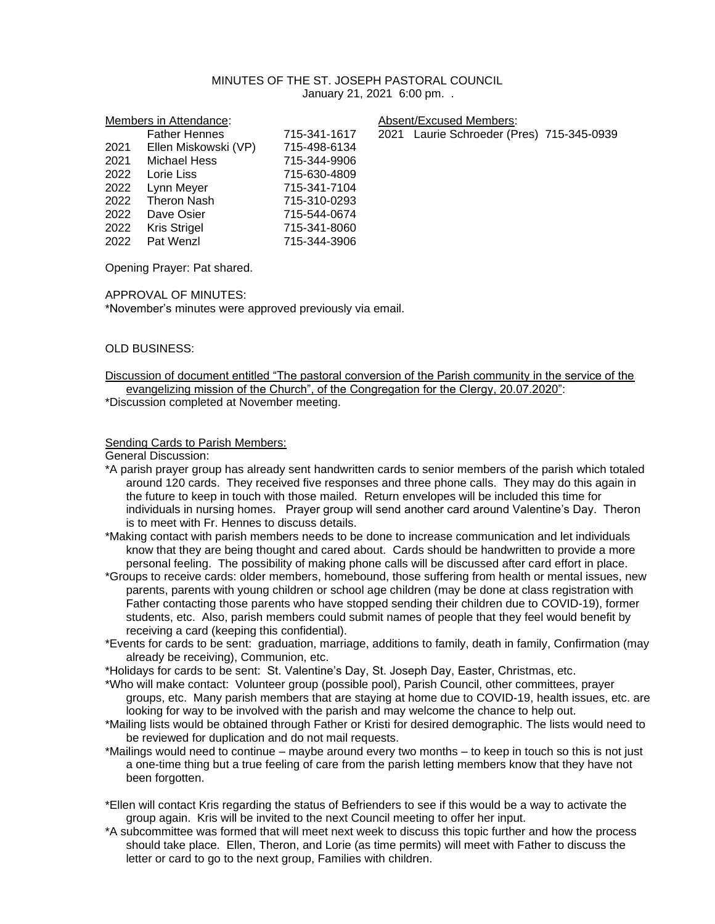# MINUTES OF THE ST. JOSEPH PASTORAL COUNCIL January 21, 2021 6:00 pm. .

Members in Attendance:  $\blacksquare$  Absent/Excused Members:

617 2021 Laurie Schroeder (Pres) 715-345-0939

|      | <b>Father Hennes</b> | 715-341-1617 |
|------|----------------------|--------------|
| 2021 | Ellen Miskowski (VP) | 715-498-6134 |
| 2021 | <b>Michael Hess</b>  | 715-344-9906 |
| 2022 | Lorie Liss           | 715-630-4809 |
| 2022 | Lynn Meyer           | 715-341-7104 |
| 2022 | <b>Theron Nash</b>   | 715-310-0293 |
| 2022 | Dave Osier           | 715-544-0674 |
| 2022 | <b>Kris Strigel</b>  | 715-341-8060 |
| 2022 | Pat Wenzl            | 715-344-3906 |
|      |                      |              |

Opening Prayer: Pat shared.

# APPROVAL OF MINUTES:

\*November's minutes were approved previously via email.

# OLD BUSINESS:

Discussion of document entitled "The pastoral conversion of the Parish community in the service of the evangelizing mission of the Church", of the Congregation for the Clergy, 20.07.2020": \*Discussion completed at November meeting.

# Sending Cards to Parish Members:

General Discussion:

\*A parish prayer group has already sent handwritten cards to senior members of the parish which totaled around 120 cards. They received five responses and three phone calls. They may do this again in the future to keep in touch with those mailed. Return envelopes will be included this time for individuals in nursing homes. Prayer group will send another card around Valentine's Day. Theron is to meet with Fr. Hennes to discuss details.

\*Making contact with parish members needs to be done to increase communication and let individuals know that they are being thought and cared about. Cards should be handwritten to provide a more personal feeling. The possibility of making phone calls will be discussed after card effort in place.

\*Groups to receive cards: older members, homebound, those suffering from health or mental issues, new parents, parents with young children or school age children (may be done at class registration with Father contacting those parents who have stopped sending their children due to COVID-19), former students, etc. Also, parish members could submit names of people that they feel would benefit by receiving a card (keeping this confidential).

\*Events for cards to be sent: graduation, marriage, additions to family, death in family, Confirmation (may already be receiving), Communion, etc.

\*Holidays for cards to be sent: St. Valentine's Day, St. Joseph Day, Easter, Christmas, etc.

\*Who will make contact: Volunteer group (possible pool), Parish Council, other committees, prayer groups, etc. Many parish members that are staying at home due to COVID-19, health issues, etc. are looking for way to be involved with the parish and may welcome the chance to help out.

- \*Mailing lists would be obtained through Father or Kristi for desired demographic. The lists would need to be reviewed for duplication and do not mail requests.
- \*Mailings would need to continue maybe around every two months to keep in touch so this is not just a one-time thing but a true feeling of care from the parish letting members know that they have not been forgotten.
- \*Ellen will contact Kris regarding the status of Befrienders to see if this would be a way to activate the group again. Kris will be invited to the next Council meeting to offer her input.
- \*A subcommittee was formed that will meet next week to discuss this topic further and how the process should take place. Ellen, Theron, and Lorie (as time permits) will meet with Father to discuss the letter or card to go to the next group, Families with children.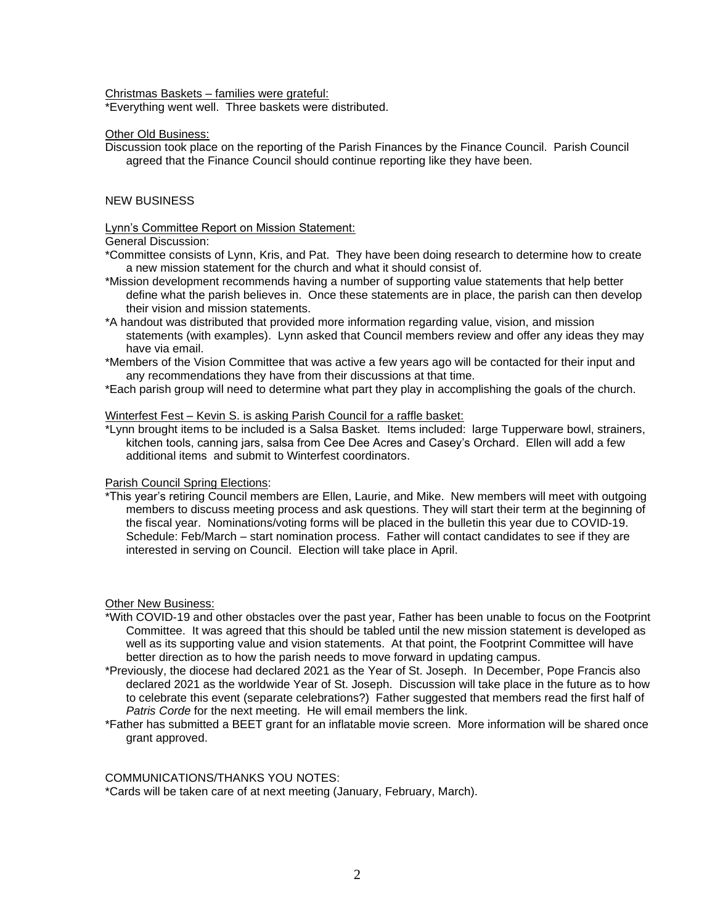Christmas Baskets – families were grateful:

\*Everything went well. Three baskets were distributed.

### Other Old Business:

Discussion took place on the reporting of the Parish Finances by the Finance Council. Parish Council agreed that the Finance Council should continue reporting like they have been.

# NEW BUSINESS

#### Lynn's Committee Report on Mission Statement:

General Discussion:

\*Committee consists of Lynn, Kris, and Pat. They have been doing research to determine how to create a new mission statement for the church and what it should consist of.

- \*Mission development recommends having a number of supporting value statements that help better define what the parish believes in. Once these statements are in place, the parish can then develop their vision and mission statements.
- \*A handout was distributed that provided more information regarding value, vision, and mission statements (with examples). Lynn asked that Council members review and offer any ideas they may have via email.
- \*Members of the Vision Committee that was active a few years ago will be contacted for their input and any recommendations they have from their discussions at that time.
- \*Each parish group will need to determine what part they play in accomplishing the goals of the church.

#### Winterfest Fest – Kevin S. is asking Parish Council for a raffle basket:

\*Lynn brought items to be included is a Salsa Basket. Items included: large Tupperware bowl, strainers, kitchen tools, canning jars, salsa from Cee Dee Acres and Casey's Orchard. Ellen will add a few additional items and submit to Winterfest coordinators.

# Parish Council Spring Elections:

\*This year's retiring Council members are Ellen, Laurie, and Mike. New members will meet with outgoing members to discuss meeting process and ask questions. They will start their term at the beginning of the fiscal year. Nominations/voting forms will be placed in the bulletin this year due to COVID-19. Schedule: Feb/March – start nomination process. Father will contact candidates to see if they are interested in serving on Council. Election will take place in April.

# Other New Business:

- \*With COVID-19 and other obstacles over the past year, Father has been unable to focus on the Footprint Committee. It was agreed that this should be tabled until the new mission statement is developed as well as its supporting value and vision statements. At that point, the Footprint Committee will have better direction as to how the parish needs to move forward in updating campus.
- \*Previously, the diocese had declared 2021 as the Year of St. Joseph. In December, Pope Francis also declared 2021 as the worldwide Year of St. Joseph. Discussion will take place in the future as to how to celebrate this event (separate celebrations?) Father suggested that members read the first half of *Patris Corde* for the next meeting. He will email members the link.
- \*Father has submitted a BEET grant for an inflatable movie screen. More information will be shared once grant approved.

### COMMUNICATIONS/THANKS YOU NOTES:

\*Cards will be taken care of at next meeting (January, February, March).